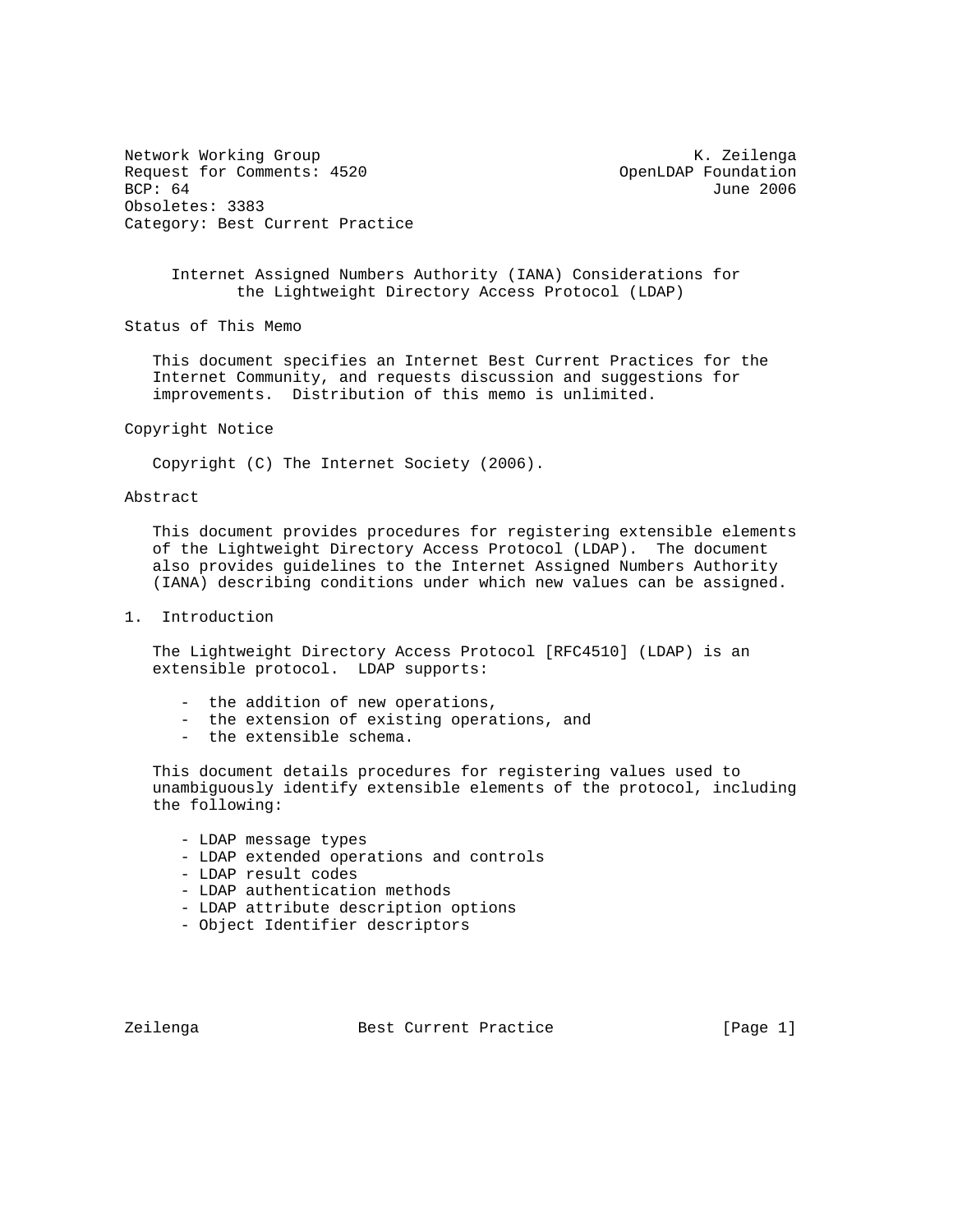Network Working Group Network Working Group Network Working Group Request for Comments: 4520 OpenLDAP Foundation<br>BCP: 64 June 2006 Obsoletes: 3383 Category: Best Current Practice

June 2006

 Internet Assigned Numbers Authority (IANA) Considerations for the Lightweight Directory Access Protocol (LDAP)

Status of This Memo

 This document specifies an Internet Best Current Practices for the Internet Community, and requests discussion and suggestions for improvements. Distribution of this memo is unlimited.

#### Copyright Notice

Copyright (C) The Internet Society (2006).

## Abstract

 This document provides procedures for registering extensible elements of the Lightweight Directory Access Protocol (LDAP). The document also provides guidelines to the Internet Assigned Numbers Authority (IANA) describing conditions under which new values can be assigned.

1. Introduction

 The Lightweight Directory Access Protocol [RFC4510] (LDAP) is an extensible protocol. LDAP supports:

- the addition of new operations,
- the extension of existing operations, and
- the extensible schema.

 This document details procedures for registering values used to unambiguously identify extensible elements of the protocol, including the following:

- LDAP message types
- LDAP extended operations and controls
- LDAP result codes
- LDAP authentication methods
- LDAP attribute description options
- Object Identifier descriptors

Zeilenga Best Current Practice [Page 1]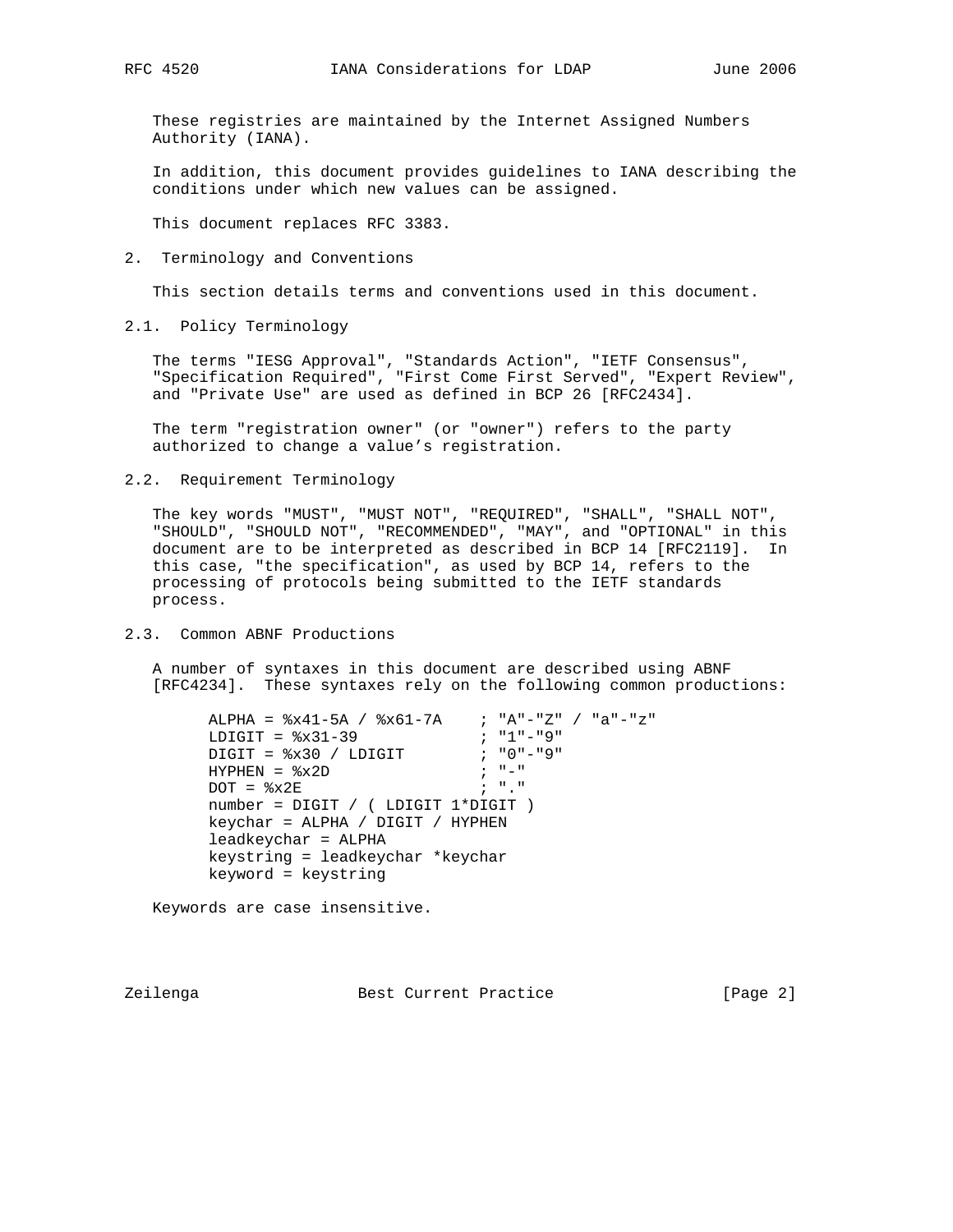These registries are maintained by the Internet Assigned Numbers Authority (IANA).

 In addition, this document provides guidelines to IANA describing the conditions under which new values can be assigned.

This document replaces RFC 3383.

2. Terminology and Conventions

This section details terms and conventions used in this document.

2.1. Policy Terminology

 The terms "IESG Approval", "Standards Action", "IETF Consensus", "Specification Required", "First Come First Served", "Expert Review", and "Private Use" are used as defined in BCP 26 [RFC2434].

 The term "registration owner" (or "owner") refers to the party authorized to change a value's registration.

2.2. Requirement Terminology

 The key words "MUST", "MUST NOT", "REQUIRED", "SHALL", "SHALL NOT", "SHOULD", "SHOULD NOT", "RECOMMENDED", "MAY", and "OPTIONAL" in this document are to be interpreted as described in BCP 14 [RFC2119]. In this case, "the specification", as used by BCP 14, refers to the processing of protocols being submitted to the IETF standards process.

2.3. Common ABNF Productions

 A number of syntaxes in this document are described using ABNF [RFC4234]. These syntaxes rely on the following common productions:

```
ALPHA = 8x41-5A / 8x61-7A ; "A"-"Z" / "a"-"z"
LDIGIT = <math>\frac{2 \times 31 - 39}{7} ; "1"-"9"
\text{Diff} = \text{$}x30 \text{ / } \text{LDIGIT} ; "0"-"9"HYPHEN = x^2D ; "-"
         DOT = <math>\frac{2}{3} \times 2E</math> ; "."
          number = DIGIT / ( LDIGIT 1*DIGIT )
          keychar = ALPHA / DIGIT / HYPHEN
          leadkeychar = ALPHA
          keystring = leadkeychar *keychar
         keyword = keystring
```
Keywords are case insensitive.

Zeilenga Best Current Practice [Page 2]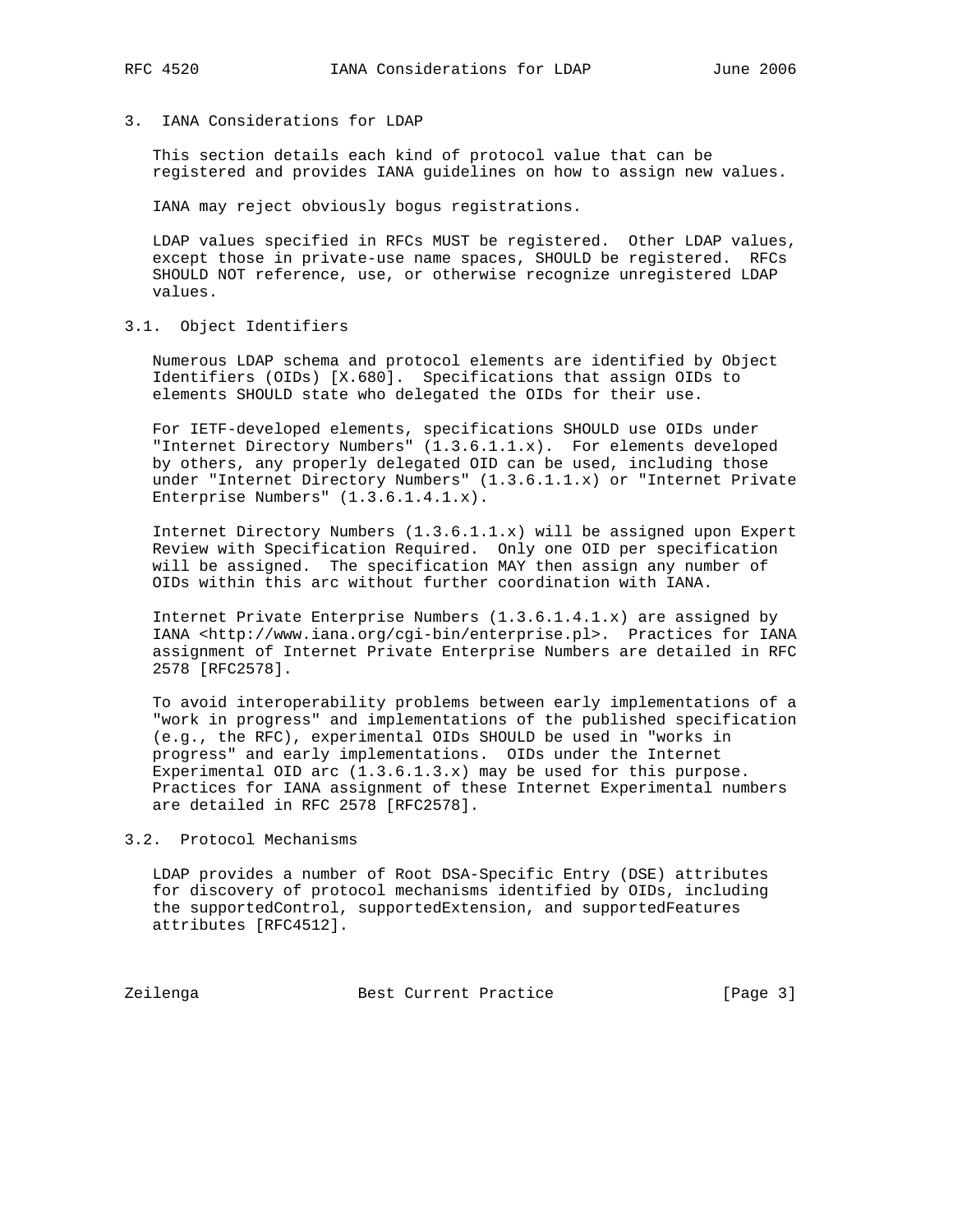# 3. IANA Considerations for LDAP

 This section details each kind of protocol value that can be registered and provides IANA guidelines on how to assign new values.

IANA may reject obviously bogus registrations.

 LDAP values specified in RFCs MUST be registered. Other LDAP values, except those in private-use name spaces, SHOULD be registered. RFCs SHOULD NOT reference, use, or otherwise recognize unregistered LDAP values.

3.1. Object Identifiers

 Numerous LDAP schema and protocol elements are identified by Object Identifiers (OIDs) [X.680]. Specifications that assign OIDs to elements SHOULD state who delegated the OIDs for their use.

 For IETF-developed elements, specifications SHOULD use OIDs under "Internet Directory Numbers" (1.3.6.1.1.x). For elements developed by others, any properly delegated OID can be used, including those under "Internet Directory Numbers" (1.3.6.1.1.x) or "Internet Private Enterprise Numbers" (1.3.6.1.4.1.x).

 Internet Directory Numbers (1.3.6.1.1.x) will be assigned upon Expert Review with Specification Required. Only one OID per specification will be assigned. The specification MAY then assign any number of OIDs within this arc without further coordination with IANA.

 Internet Private Enterprise Numbers (1.3.6.1.4.1.x) are assigned by IANA <http://www.iana.org/cgi-bin/enterprise.pl>. Practices for IANA assignment of Internet Private Enterprise Numbers are detailed in RFC 2578 [RFC2578].

 To avoid interoperability problems between early implementations of a "work in progress" and implementations of the published specification (e.g., the RFC), experimental OIDs SHOULD be used in "works in progress" and early implementations. OIDs under the Internet Experimental OID arc  $(1.3.6.1.3.x)$  may be used for this purpose. Practices for IANA assignment of these Internet Experimental numbers are detailed in RFC 2578 [RFC2578].

3.2. Protocol Mechanisms

 LDAP provides a number of Root DSA-Specific Entry (DSE) attributes for discovery of protocol mechanisms identified by OIDs, including the supportedControl, supportedExtension, and supportedFeatures attributes [RFC4512].

Zeilenga **Best Current Practice Best Current** Practice **Exercise** [Page 3]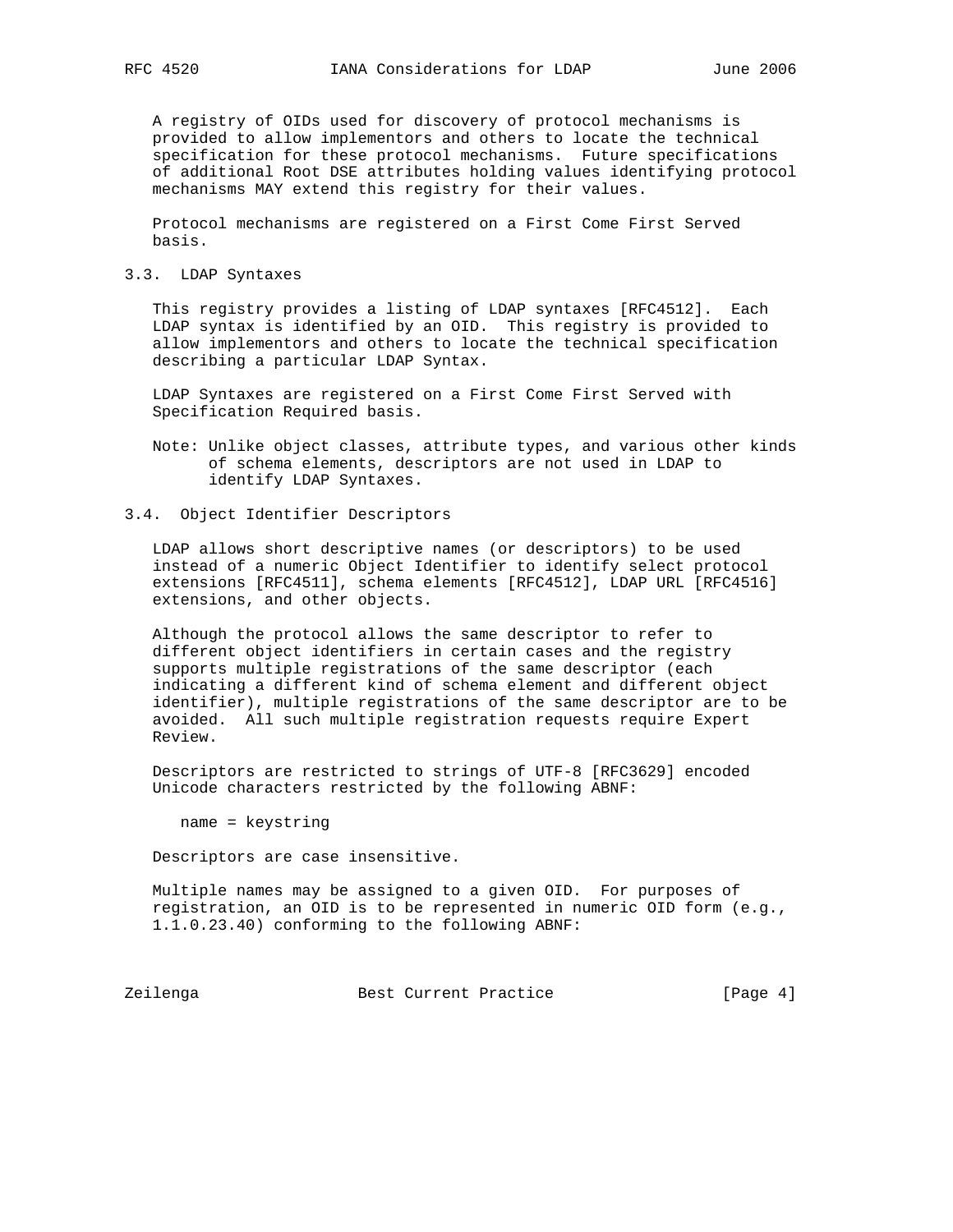A registry of OIDs used for discovery of protocol mechanisms is provided to allow implementors and others to locate the technical specification for these protocol mechanisms. Future specifications of additional Root DSE attributes holding values identifying protocol mechanisms MAY extend this registry for their values.

 Protocol mechanisms are registered on a First Come First Served basis.

3.3. LDAP Syntaxes

 This registry provides a listing of LDAP syntaxes [RFC4512]. Each LDAP syntax is identified by an OID. This registry is provided to allow implementors and others to locate the technical specification describing a particular LDAP Syntax.

 LDAP Syntaxes are registered on a First Come First Served with Specification Required basis.

- Note: Unlike object classes, attribute types, and various other kinds of schema elements, descriptors are not used in LDAP to identify LDAP Syntaxes.
- 3.4. Object Identifier Descriptors

 LDAP allows short descriptive names (or descriptors) to be used instead of a numeric Object Identifier to identify select protocol extensions [RFC4511], schema elements [RFC4512], LDAP URL [RFC4516] extensions, and other objects.

 Although the protocol allows the same descriptor to refer to different object identifiers in certain cases and the registry supports multiple registrations of the same descriptor (each indicating a different kind of schema element and different object identifier), multiple registrations of the same descriptor are to be avoided. All such multiple registration requests require Expert Review.

 Descriptors are restricted to strings of UTF-8 [RFC3629] encoded Unicode characters restricted by the following ABNF:

name = keystring

Descriptors are case insensitive.

 Multiple names may be assigned to a given OID. For purposes of registration, an OID is to be represented in numeric OID form (e.g., 1.1.0.23.40) conforming to the following ABNF:

Zeilenga **Best Current Practice** [Page 4]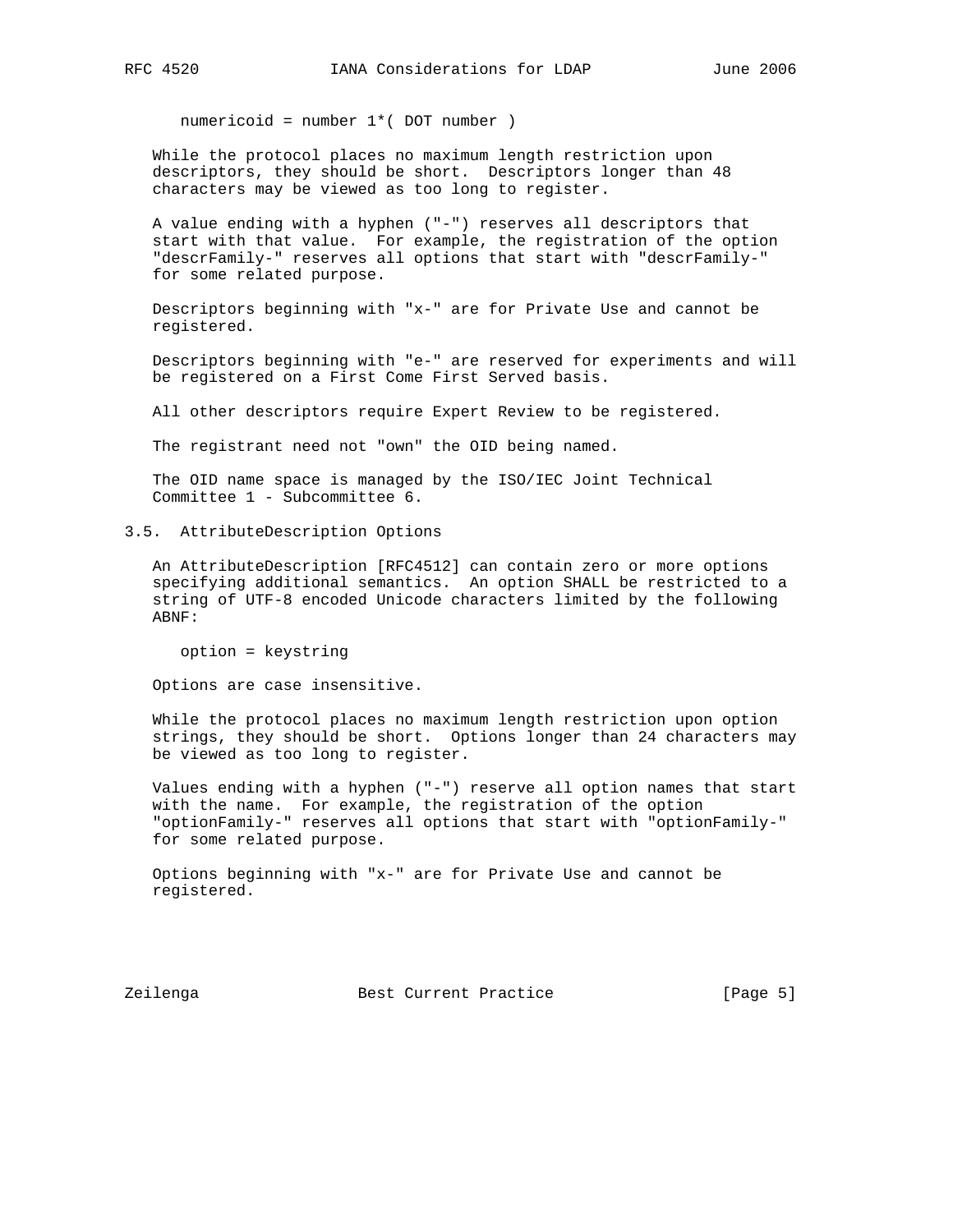numericoid = number 1\*( DOT number )

 While the protocol places no maximum length restriction upon descriptors, they should be short. Descriptors longer than 48 characters may be viewed as too long to register.

 A value ending with a hyphen ("-") reserves all descriptors that start with that value. For example, the registration of the option "descrFamily-" reserves all options that start with "descrFamily-" for some related purpose.

 Descriptors beginning with "x-" are for Private Use and cannot be registered.

 Descriptors beginning with "e-" are reserved for experiments and will be registered on a First Come First Served basis.

All other descriptors require Expert Review to be registered.

The registrant need not "own" the OID being named.

 The OID name space is managed by the ISO/IEC Joint Technical Committee 1 - Subcommittee 6.

3.5. AttributeDescription Options

 An AttributeDescription [RFC4512] can contain zero or more options specifying additional semantics. An option SHALL be restricted to a string of UTF-8 encoded Unicode characters limited by the following ABNF:

option = keystring

Options are case insensitive.

 While the protocol places no maximum length restriction upon option strings, they should be short. Options longer than 24 characters may be viewed as too long to register.

 Values ending with a hyphen ("-") reserve all option names that start with the name. For example, the registration of the option "optionFamily-" reserves all options that start with "optionFamily-" for some related purpose.

 Options beginning with "x-" are for Private Use and cannot be registered.

Zeilenga Best Current Practice [Page 5]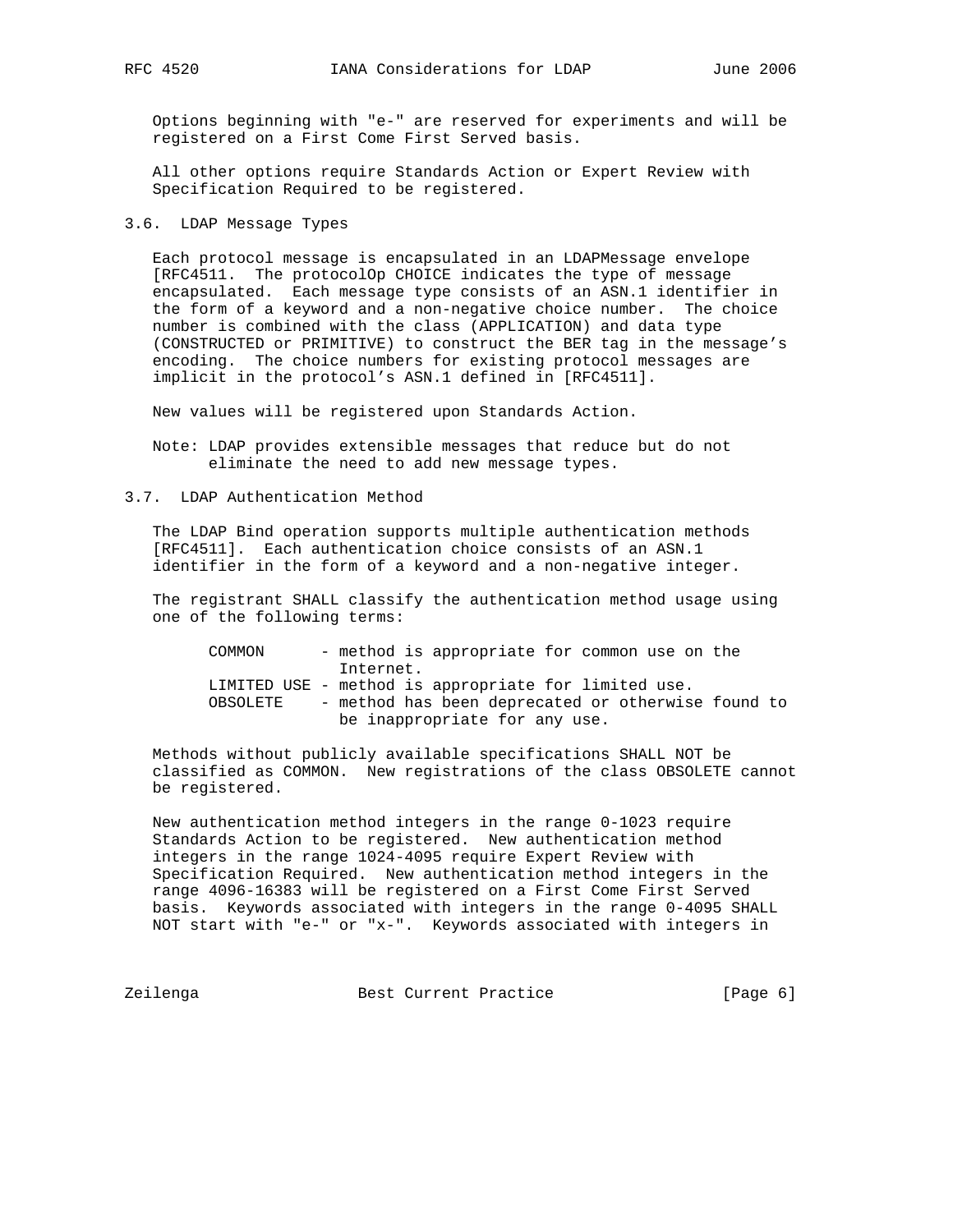Options beginning with "e-" are reserved for experiments and will be registered on a First Come First Served basis.

 All other options require Standards Action or Expert Review with Specification Required to be registered.

3.6. LDAP Message Types

 Each protocol message is encapsulated in an LDAPMessage envelope [RFC4511. The protocolOp CHOICE indicates the type of message encapsulated. Each message type consists of an ASN.1 identifier in the form of a keyword and a non-negative choice number. The choice number is combined with the class (APPLICATION) and data type (CONSTRUCTED or PRIMITIVE) to construct the BER tag in the message's encoding. The choice numbers for existing protocol messages are implicit in the protocol's ASN.1 defined in [RFC4511].

New values will be registered upon Standards Action.

 Note: LDAP provides extensible messages that reduce but do not eliminate the need to add new message types.

3.7. LDAP Authentication Method

 The LDAP Bind operation supports multiple authentication methods [RFC4511]. Each authentication choice consists of an ASN.1 identifier in the form of a keyword and a non-negative integer.

 The registrant SHALL classify the authentication method usage using one of the following terms:

 COMMON - method is appropriate for common use on the Internet. LIMITED USE - method is appropriate for limited use. OBSOLETE - method has been deprecated or otherwise found to be inappropriate for any use.

 Methods without publicly available specifications SHALL NOT be classified as COMMON. New registrations of the class OBSOLETE cannot be registered.

 New authentication method integers in the range 0-1023 require Standards Action to be registered. New authentication method integers in the range 1024-4095 require Expert Review with Specification Required. New authentication method integers in the range 4096-16383 will be registered on a First Come First Served basis. Keywords associated with integers in the range 0-4095 SHALL NOT start with "e-" or "x-". Keywords associated with integers in

Zeilenga **Best Current Practice Best Current Practice Exercise** [Page 6]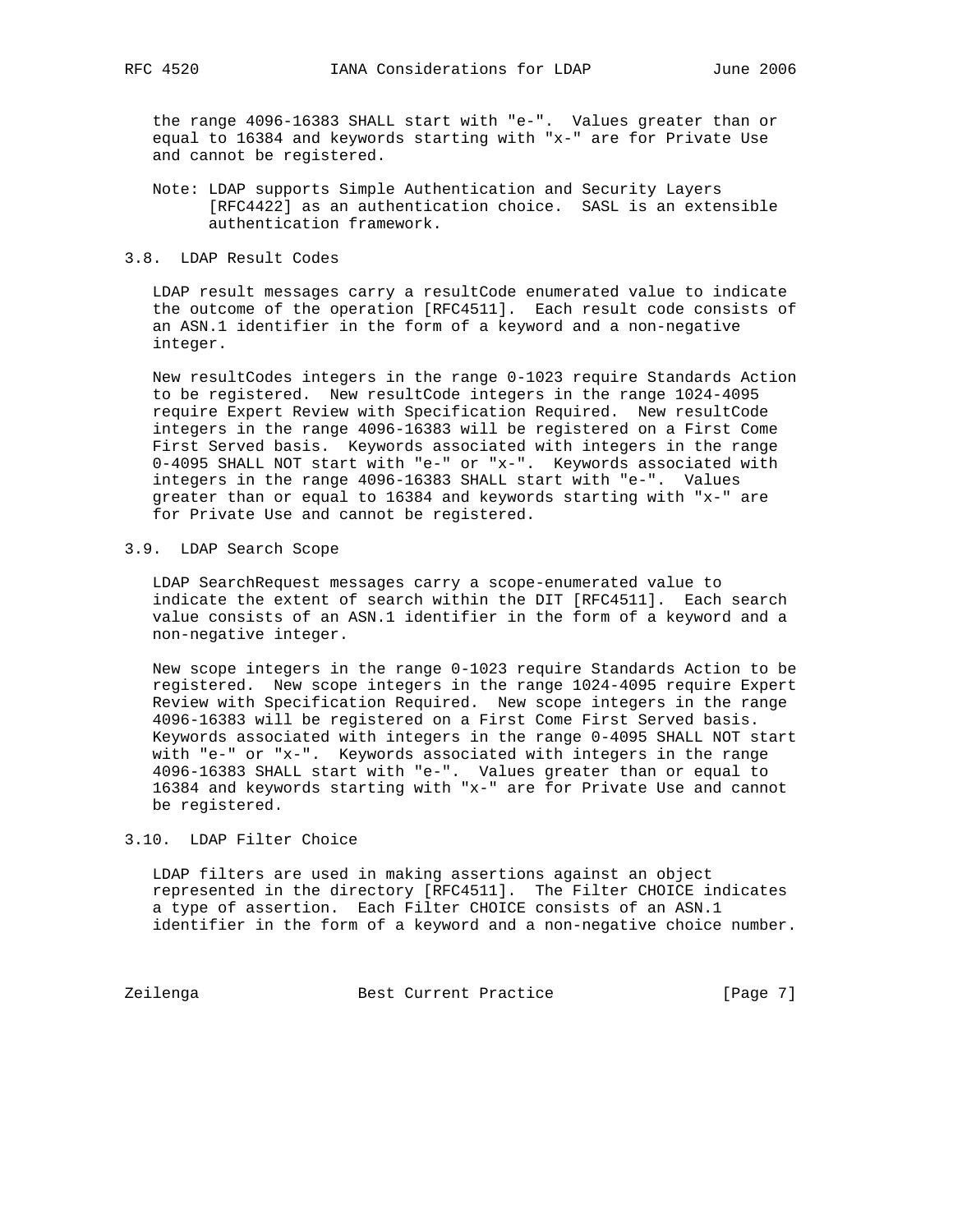the range 4096-16383 SHALL start with "e-". Values greater than or equal to 16384 and keywords starting with "x-" are for Private Use and cannot be registered.

- Note: LDAP supports Simple Authentication and Security Layers [RFC4422] as an authentication choice. SASL is an extensible authentication framework.
- 3.8. LDAP Result Codes

 LDAP result messages carry a resultCode enumerated value to indicate the outcome of the operation [RFC4511]. Each result code consists of an ASN.1 identifier in the form of a keyword and a non-negative integer.

 New resultCodes integers in the range 0-1023 require Standards Action to be registered. New resultCode integers in the range 1024-4095 require Expert Review with Specification Required. New resultCode integers in the range 4096-16383 will be registered on a First Come First Served basis. Keywords associated with integers in the range 0-4095 SHALL NOT start with "e-" or "x-". Keywords associated with integers in the range 4096-16383 SHALL start with "e-". Values greater than or equal to 16384 and keywords starting with "x-" are for Private Use and cannot be registered.

#### 3.9. LDAP Search Scope

 LDAP SearchRequest messages carry a scope-enumerated value to indicate the extent of search within the DIT [RFC4511]. Each search value consists of an ASN.1 identifier in the form of a keyword and a non-negative integer.

 New scope integers in the range 0-1023 require Standards Action to be registered. New scope integers in the range 1024-4095 require Expert Review with Specification Required. New scope integers in the range 4096-16383 will be registered on a First Come First Served basis. Keywords associated with integers in the range 0-4095 SHALL NOT start with "e-" or "x-". Keywords associated with integers in the range 4096-16383 SHALL start with "e-". Values greater than or equal to 16384 and keywords starting with "x-" are for Private Use and cannot be registered.

## 3.10. LDAP Filter Choice

 LDAP filters are used in making assertions against an object represented in the directory [RFC4511]. The Filter CHOICE indicates a type of assertion. Each Filter CHOICE consists of an ASN.1 identifier in the form of a keyword and a non-negative choice number.

Zeilenga **Best Current Practice** [Page 7]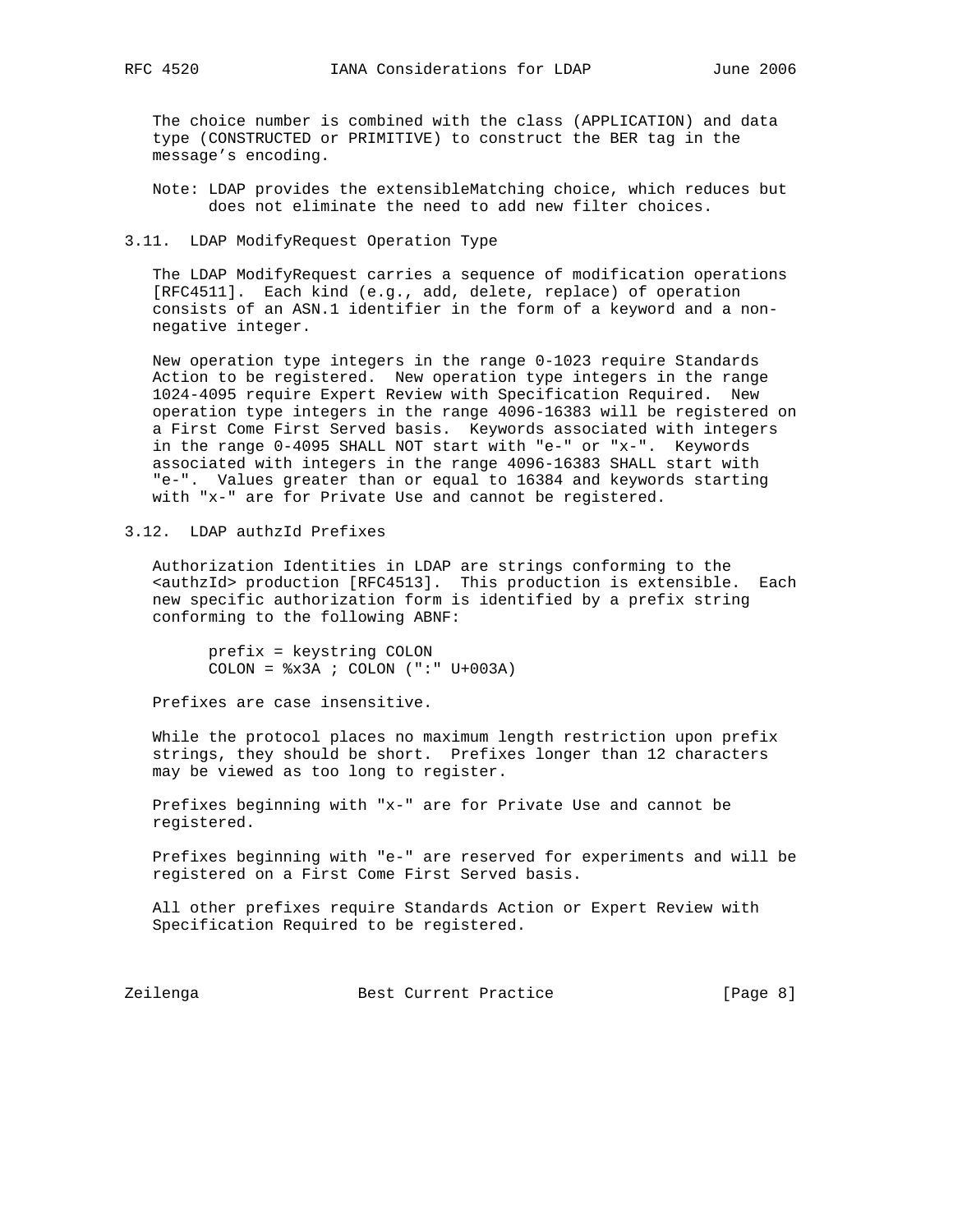The choice number is combined with the class (APPLICATION) and data type (CONSTRUCTED or PRIMITIVE) to construct the BER tag in the message's encoding.

 Note: LDAP provides the extensibleMatching choice, which reduces but does not eliminate the need to add new filter choices.

3.11. LDAP ModifyRequest Operation Type

 The LDAP ModifyRequest carries a sequence of modification operations [RFC4511]. Each kind (e.g., add, delete, replace) of operation consists of an ASN.1 identifier in the form of a keyword and a non negative integer.

 New operation type integers in the range 0-1023 require Standards Action to be registered. New operation type integers in the range 1024-4095 require Expert Review with Specification Required. New operation type integers in the range 4096-16383 will be registered on a First Come First Served basis. Keywords associated with integers in the range 0-4095 SHALL NOT start with "e-" or "x-". Keywords associated with integers in the range 4096-16383 SHALL start with "e-". Values greater than or equal to 16384 and keywords starting with "x-" are for Private Use and cannot be registered.

3.12. LDAP authzId Prefixes

 Authorization Identities in LDAP are strings conforming to the <authzId> production [RFC4513]. This production is extensible. Each new specific authorization form is identified by a prefix string conforming to the following ABNF:

 prefix = keystring COLON COLON =  $x3A$  ; COLON (":" U+003A)

Prefixes are case insensitive.

 While the protocol places no maximum length restriction upon prefix strings, they should be short. Prefixes longer than 12 characters may be viewed as too long to register.

 Prefixes beginning with "x-" are for Private Use and cannot be registered.

 Prefixes beginning with "e-" are reserved for experiments and will be registered on a First Come First Served basis.

 All other prefixes require Standards Action or Expert Review with Specification Required to be registered.

Zeilenga **Best Current Practice** [Page 8]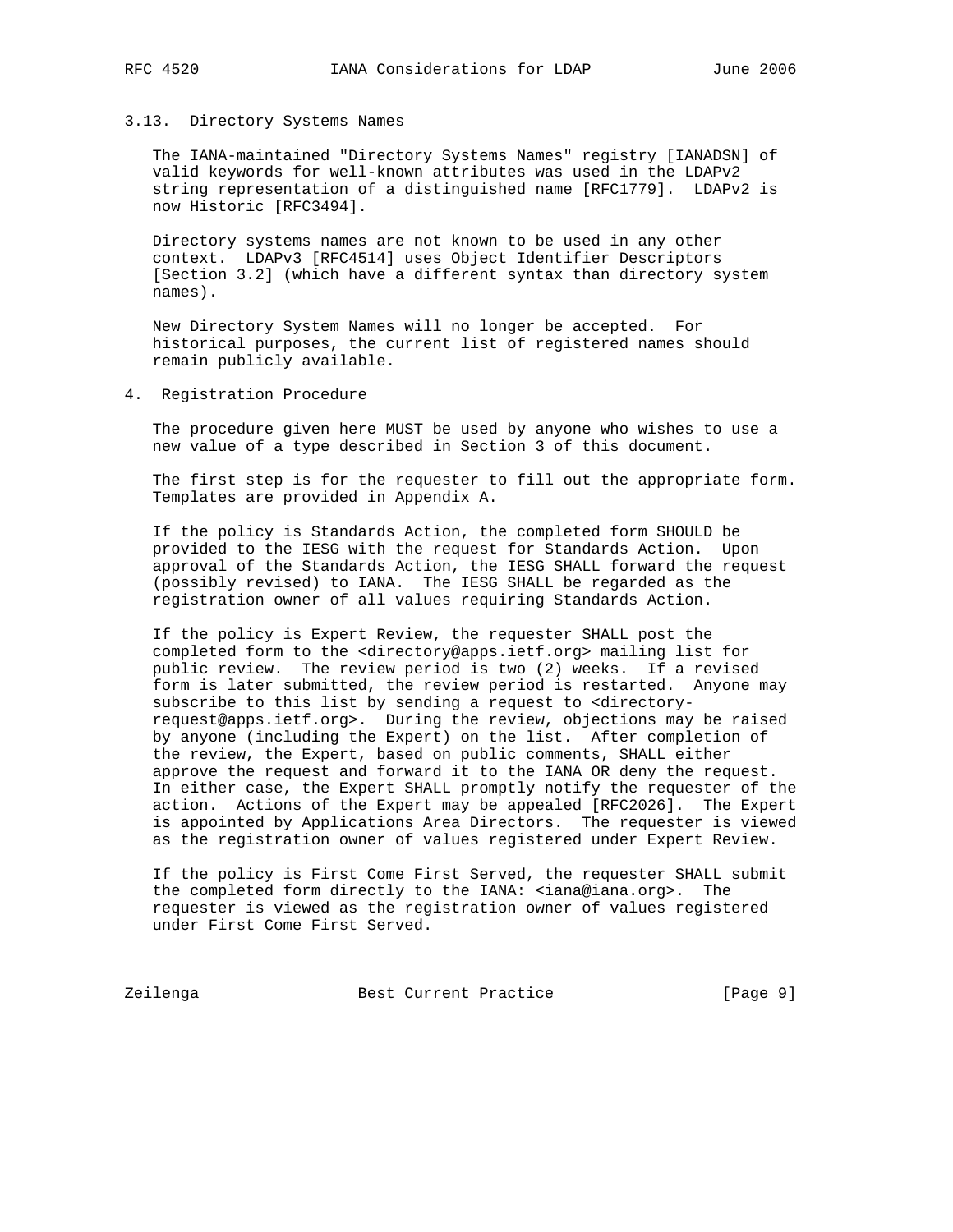#### 3.13. Directory Systems Names

 The IANA-maintained "Directory Systems Names" registry [IANADSN] of valid keywords for well-known attributes was used in the LDAPv2 string representation of a distinguished name [RFC1779]. LDAPv2 is now Historic [RFC3494].

 Directory systems names are not known to be used in any other context. LDAPv3 [RFC4514] uses Object Identifier Descriptors [Section 3.2] (which have a different syntax than directory system names).

 New Directory System Names will no longer be accepted. For historical purposes, the current list of registered names should remain publicly available.

4. Registration Procedure

 The procedure given here MUST be used by anyone who wishes to use a new value of a type described in Section 3 of this document.

 The first step is for the requester to fill out the appropriate form. Templates are provided in Appendix A.

 If the policy is Standards Action, the completed form SHOULD be provided to the IESG with the request for Standards Action. Upon approval of the Standards Action, the IESG SHALL forward the request (possibly revised) to IANA. The IESG SHALL be regarded as the registration owner of all values requiring Standards Action.

 If the policy is Expert Review, the requester SHALL post the completed form to the <directory@apps.ietf.org> mailing list for public review. The review period is two (2) weeks. If a revised form is later submitted, the review period is restarted. Anyone may subscribe to this list by sending a request to <directory request@apps.ietf.org>. During the review, objections may be raised by anyone (including the Expert) on the list. After completion of the review, the Expert, based on public comments, SHALL either approve the request and forward it to the IANA OR deny the request. In either case, the Expert SHALL promptly notify the requester of the action. Actions of the Expert may be appealed [RFC2026]. The Expert is appointed by Applications Area Directors. The requester is viewed as the registration owner of values registered under Expert Review.

 If the policy is First Come First Served, the requester SHALL submit the completed form directly to the IANA: <iana@iana.org>. The requester is viewed as the registration owner of values registered under First Come First Served.

Zeilenga **Best Current Practice** [Page 9]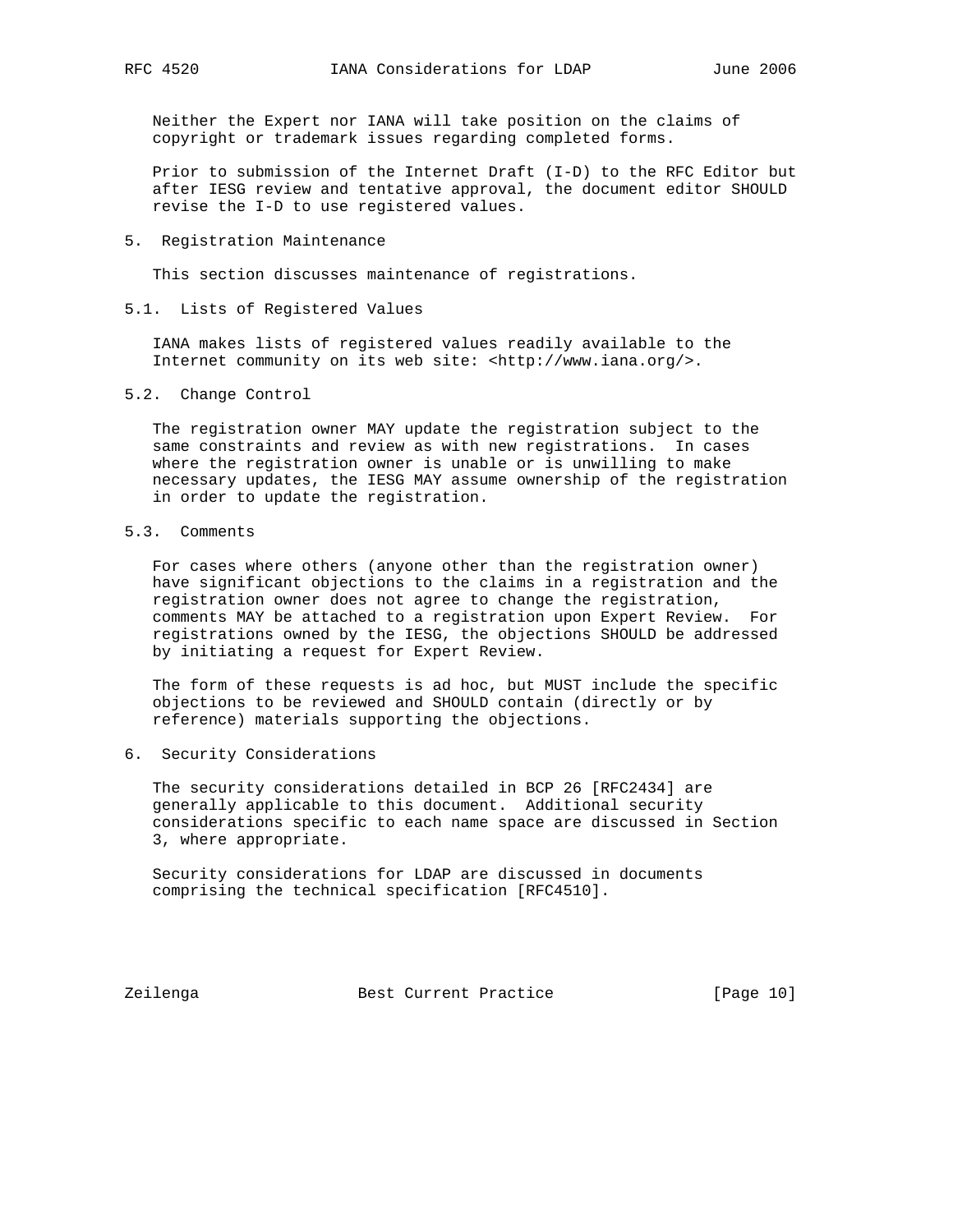Neither the Expert nor IANA will take position on the claims of copyright or trademark issues regarding completed forms.

 Prior to submission of the Internet Draft (I-D) to the RFC Editor but after IESG review and tentative approval, the document editor SHOULD revise the I-D to use registered values.

5. Registration Maintenance

This section discusses maintenance of registrations.

5.1. Lists of Registered Values

 IANA makes lists of registered values readily available to the Internet community on its web site: <http://www.iana.org/>.

5.2. Change Control

 The registration owner MAY update the registration subject to the same constraints and review as with new registrations. In cases where the registration owner is unable or is unwilling to make necessary updates, the IESG MAY assume ownership of the registration in order to update the registration.

5.3. Comments

 For cases where others (anyone other than the registration owner) have significant objections to the claims in a registration and the registration owner does not agree to change the registration, comments MAY be attached to a registration upon Expert Review. For registrations owned by the IESG, the objections SHOULD be addressed by initiating a request for Expert Review.

 The form of these requests is ad hoc, but MUST include the specific objections to be reviewed and SHOULD contain (directly or by reference) materials supporting the objections.

6. Security Considerations

 The security considerations detailed in BCP 26 [RFC2434] are generally applicable to this document. Additional security considerations specific to each name space are discussed in Section 3, where appropriate.

 Security considerations for LDAP are discussed in documents comprising the technical specification [RFC4510].

Zeilenga **Best Current Practice** [Page 10]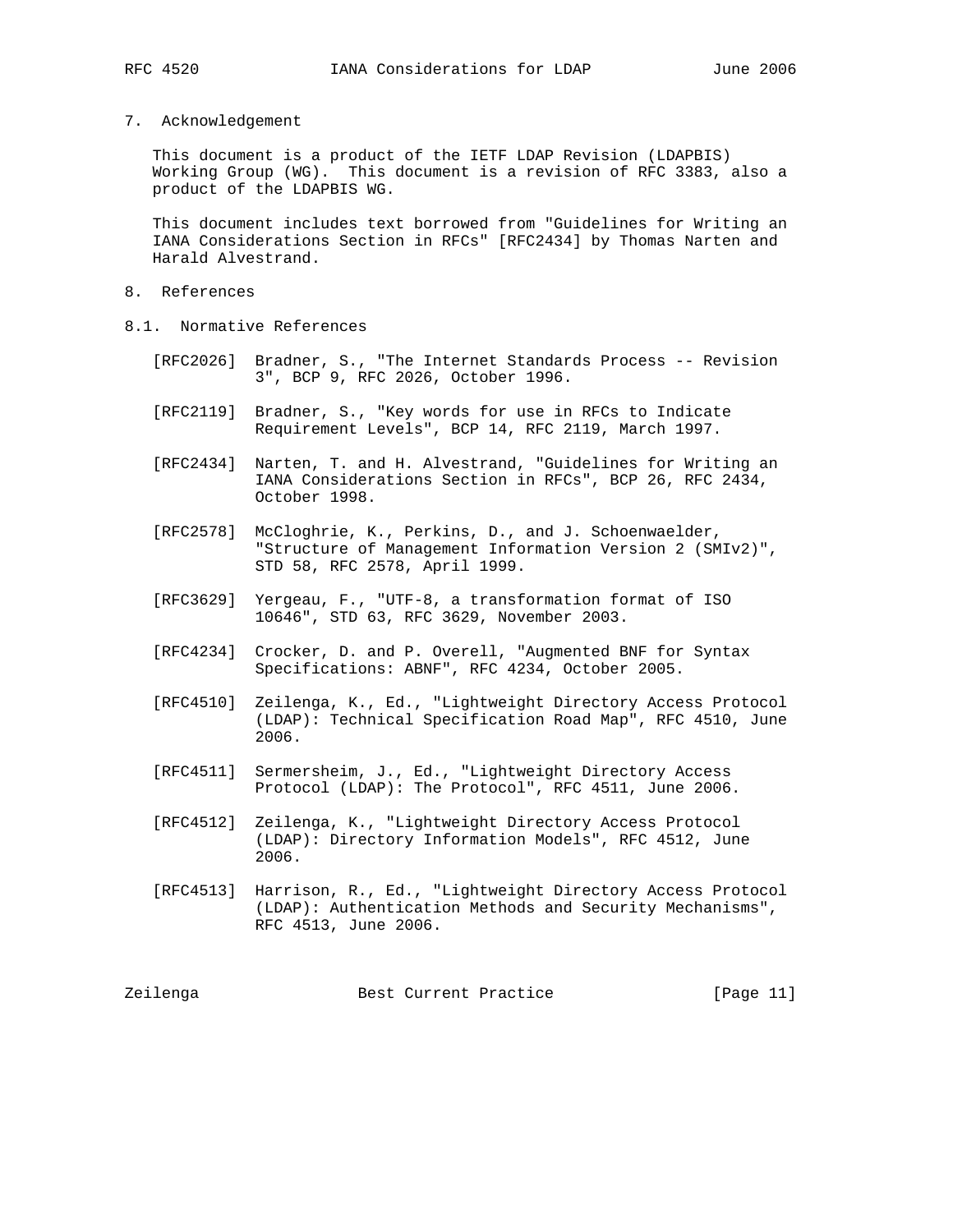7. Acknowledgement

 This document is a product of the IETF LDAP Revision (LDAPBIS) Working Group (WG). This document is a revision of RFC 3383, also a product of the LDAPBIS WG.

 This document includes text borrowed from "Guidelines for Writing an IANA Considerations Section in RFCs" [RFC2434] by Thomas Narten and Harald Alvestrand.

- 8. References
- 8.1. Normative References
	- [RFC2026] Bradner, S., "The Internet Standards Process -- Revision 3", BCP 9, RFC 2026, October 1996.
	- [RFC2119] Bradner, S., "Key words for use in RFCs to Indicate Requirement Levels", BCP 14, RFC 2119, March 1997.
	- [RFC2434] Narten, T. and H. Alvestrand, "Guidelines for Writing an IANA Considerations Section in RFCs", BCP 26, RFC 2434, October 1998.
	- [RFC2578] McCloghrie, K., Perkins, D., and J. Schoenwaelder, "Structure of Management Information Version 2 (SMIv2)", STD 58, RFC 2578, April 1999.
	- [RFC3629] Yergeau, F., "UTF-8, a transformation format of ISO 10646", STD 63, RFC 3629, November 2003.
	- [RFC4234] Crocker, D. and P. Overell, "Augmented BNF for Syntax Specifications: ABNF", RFC 4234, October 2005.
	- [RFC4510] Zeilenga, K., Ed., "Lightweight Directory Access Protocol (LDAP): Technical Specification Road Map", RFC 4510, June 2006.
	- [RFC4511] Sermersheim, J., Ed., "Lightweight Directory Access Protocol (LDAP): The Protocol", RFC 4511, June 2006.
	- [RFC4512] Zeilenga, K., "Lightweight Directory Access Protocol (LDAP): Directory Information Models", RFC 4512, June 2006.
	- [RFC4513] Harrison, R., Ed., "Lightweight Directory Access Protocol (LDAP): Authentication Methods and Security Mechanisms", RFC 4513, June 2006.

Zeilenga Best Current Practice [Page 11]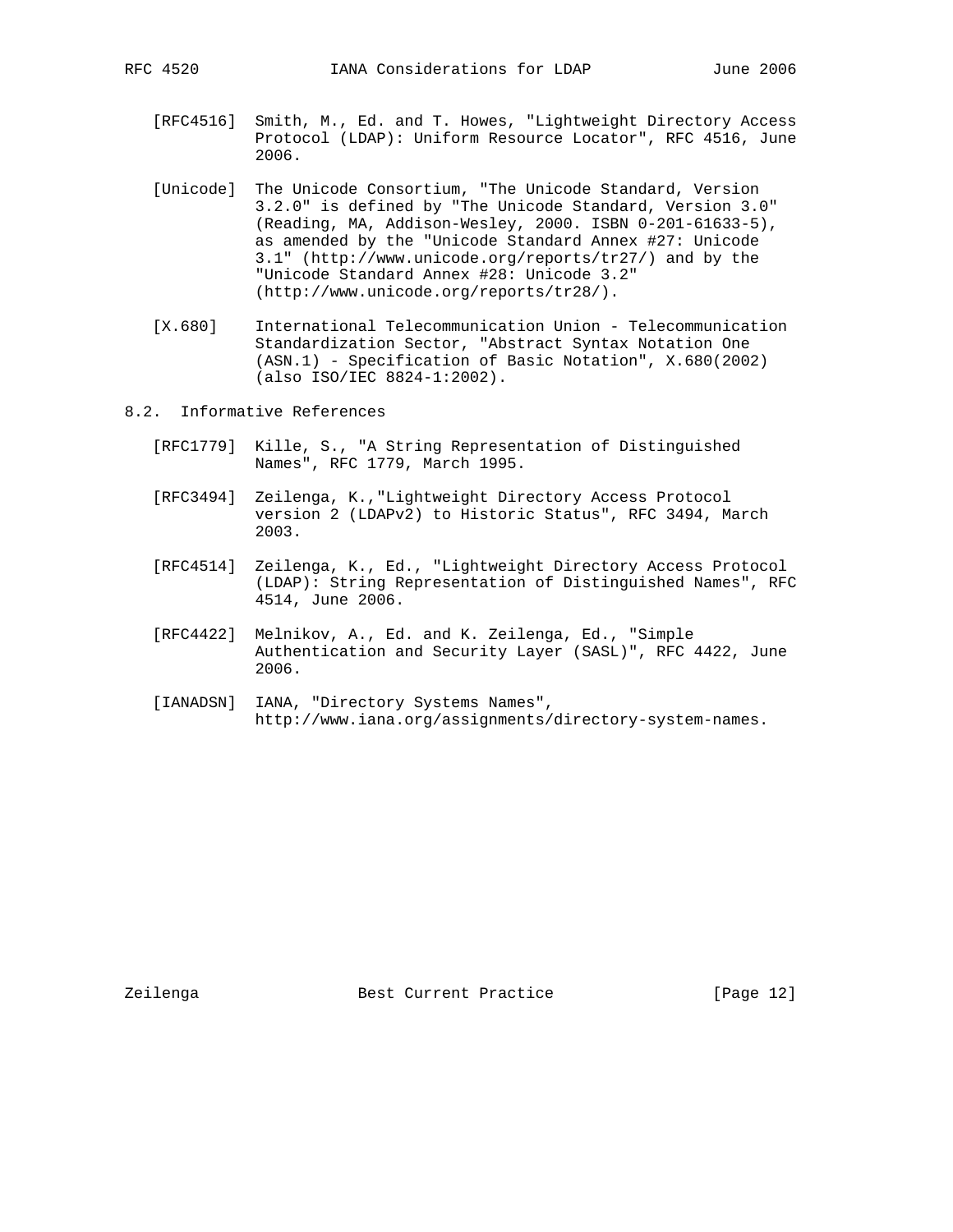- [RFC4516] Smith, M., Ed. and T. Howes, "Lightweight Directory Access Protocol (LDAP): Uniform Resource Locator", RFC 4516, June 2006.
- [Unicode] The Unicode Consortium, "The Unicode Standard, Version 3.2.0" is defined by "The Unicode Standard, Version 3.0" (Reading, MA, Addison-Wesley, 2000. ISBN 0-201-61633-5), as amended by the "Unicode Standard Annex #27: Unicode 3.1" (http://www.unicode.org/reports/tr27/) and by the "Unicode Standard Annex #28: Unicode 3.2" (http://www.unicode.org/reports/tr28/).
- [X.680] International Telecommunication Union Telecommunication Standardization Sector, "Abstract Syntax Notation One (ASN.1) - Specification of Basic Notation", X.680(2002) (also ISO/IEC 8824-1:2002).
- 8.2. Informative References
	- [RFC1779] Kille, S., "A String Representation of Distinguished Names", RFC 1779, March 1995.
	- [RFC3494] Zeilenga, K.,"Lightweight Directory Access Protocol version 2 (LDAPv2) to Historic Status", RFC 3494, March 2003.
	- [RFC4514] Zeilenga, K., Ed., "Lightweight Directory Access Protocol (LDAP): String Representation of Distinguished Names", RFC 4514, June 2006.
	- [RFC4422] Melnikov, A., Ed. and K. Zeilenga, Ed., "Simple Authentication and Security Layer (SASL)", RFC 4422, June 2006.
	- [IANADSN] IANA, "Directory Systems Names", http://www.iana.org/assignments/directory-system-names.

Zeilenga **Best Current Practice** [Page 12]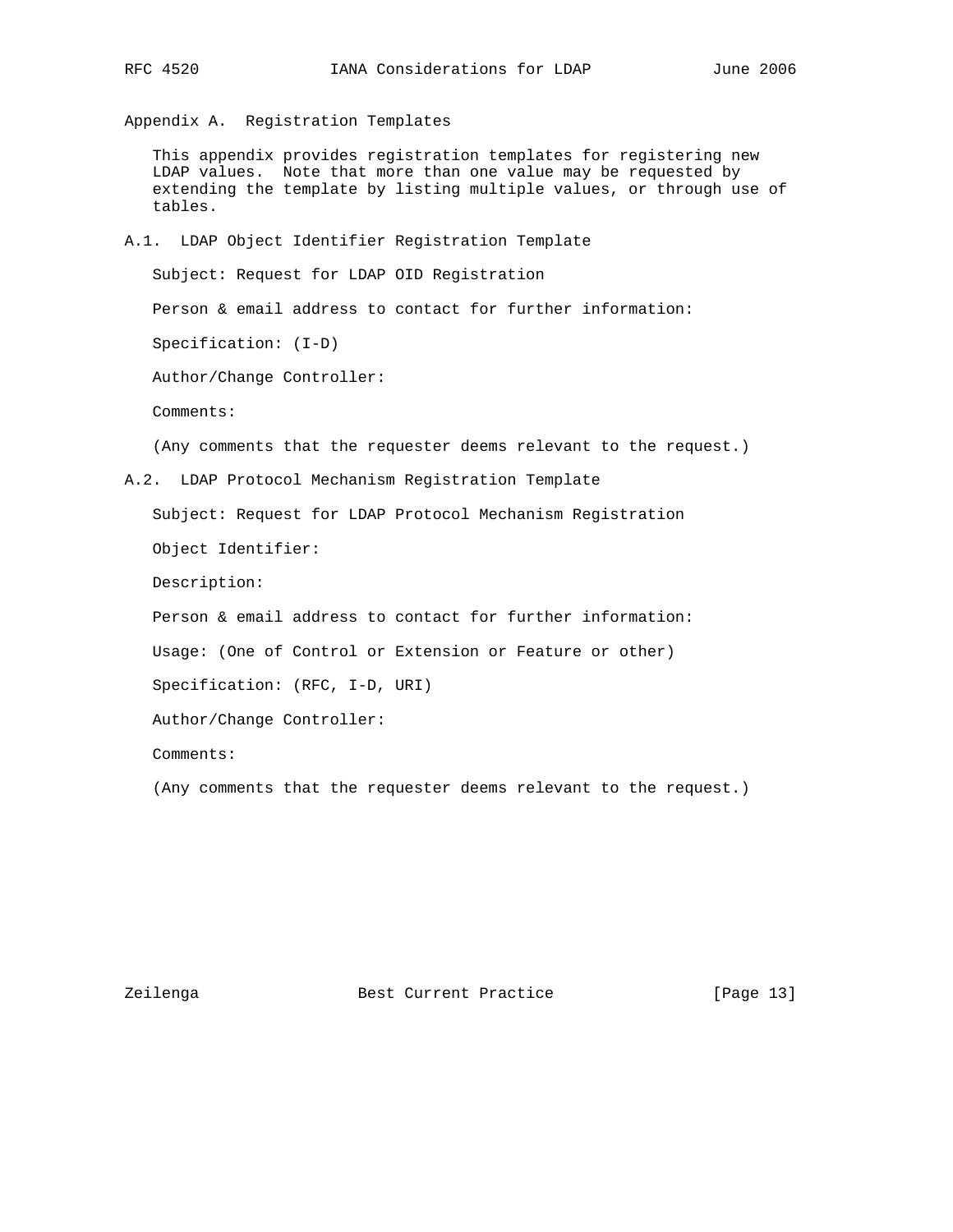Appendix A. Registration Templates

 This appendix provides registration templates for registering new LDAP values. Note that more than one value may be requested by extending the template by listing multiple values, or through use of tables.

A.1. LDAP Object Identifier Registration Template

 Subject: Request for LDAP OID Registration Person & email address to contact for further information: Specification: (I-D) Author/Change Controller: Comments:

(Any comments that the requester deems relevant to the request.)

A.2. LDAP Protocol Mechanism Registration Template

Subject: Request for LDAP Protocol Mechanism Registration

Object Identifier:

Description:

Person & email address to contact for further information:

Usage: (One of Control or Extension or Feature or other)

Specification: (RFC, I-D, URI)

Author/Change Controller:

Comments:

(Any comments that the requester deems relevant to the request.)

Zeilenga **Best Current Practice** [Page 13]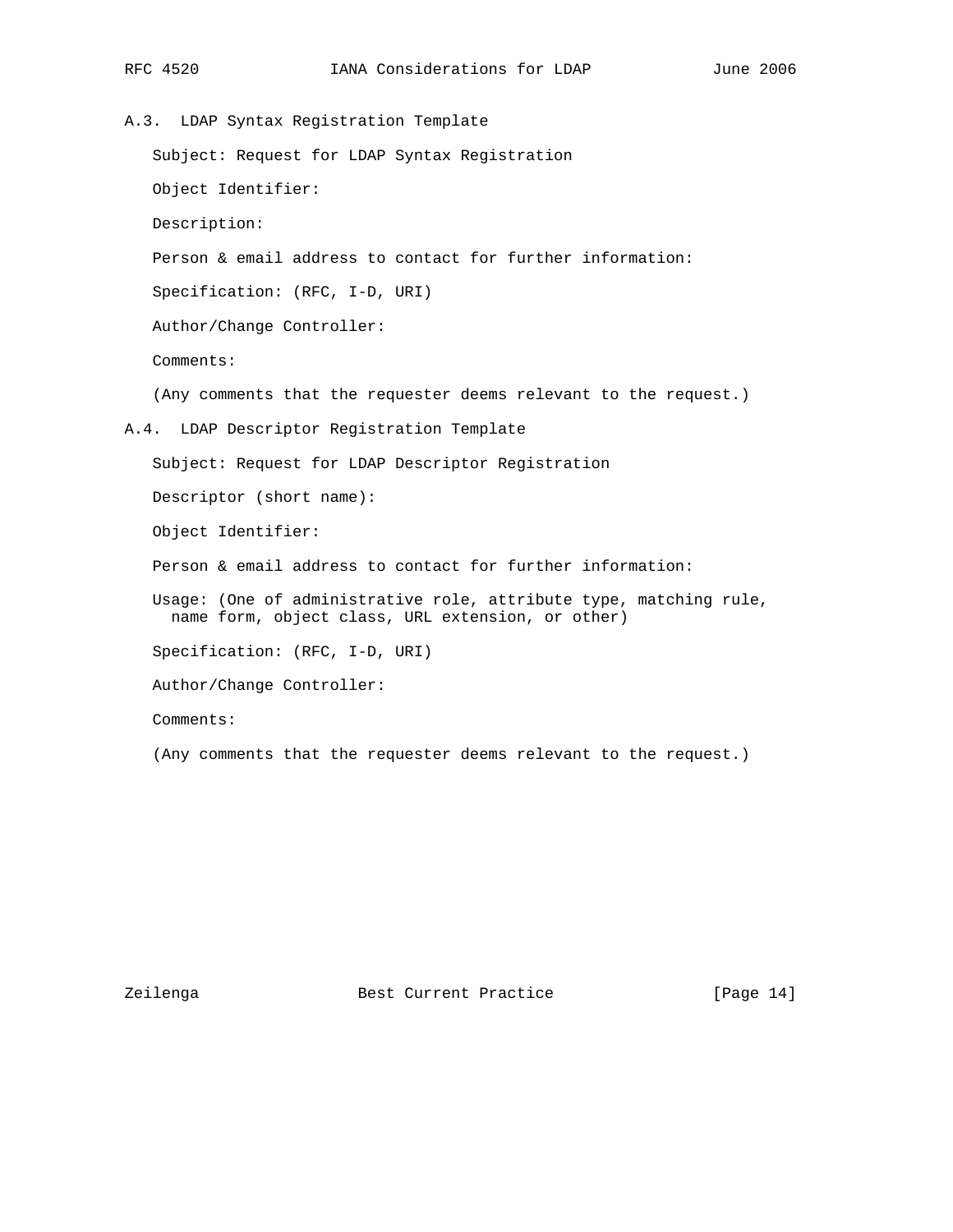A.3. LDAP Syntax Registration Template Subject: Request for LDAP Syntax Registration Object Identifier: Description: Person & email address to contact for further information: Specification: (RFC, I-D, URI) Author/Change Controller: Comments: (Any comments that the requester deems relevant to the request.) A.4. LDAP Descriptor Registration Template Subject: Request for LDAP Descriptor Registration Descriptor (short name): Object Identifier: Person & email address to contact for further information: Usage: (One of administrative role, attribute type, matching rule, name form, object class, URL extension, or other) Specification: (RFC, I-D, URI) Author/Change Controller: Comments:

(Any comments that the requester deems relevant to the request.)

Zeilenga **Best Current Practice** [Page 14]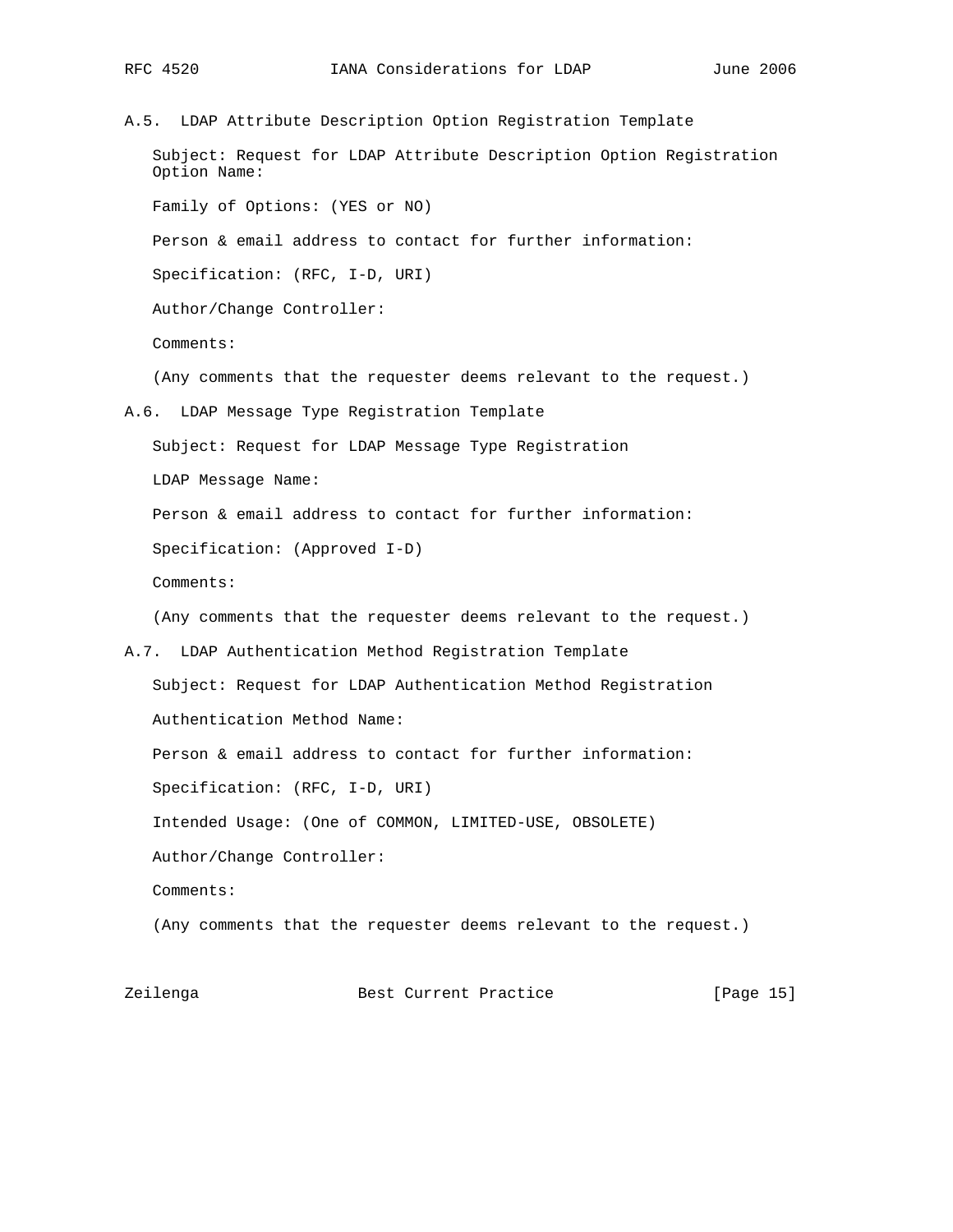A.5. LDAP Attribute Description Option Registration Template Subject: Request for LDAP Attribute Description Option Registration Option Name: Family of Options: (YES or NO) Person & email address to contact for further information: Specification: (RFC, I-D, URI) Author/Change Controller: Comments: (Any comments that the requester deems relevant to the request.) A.6. LDAP Message Type Registration Template Subject: Request for LDAP Message Type Registration LDAP Message Name: Person & email address to contact for further information: Specification: (Approved I-D) Comments: (Any comments that the requester deems relevant to the request.) A.7. LDAP Authentication Method Registration Template Subject: Request for LDAP Authentication Method Registration Authentication Method Name: Person & email address to contact for further information: Specification: (RFC, I-D, URI) Intended Usage: (One of COMMON, LIMITED-USE, OBSOLETE) Author/Change Controller: Comments: (Any comments that the requester deems relevant to the request.)

Zeilenga **Best Current Practice** [Page 15]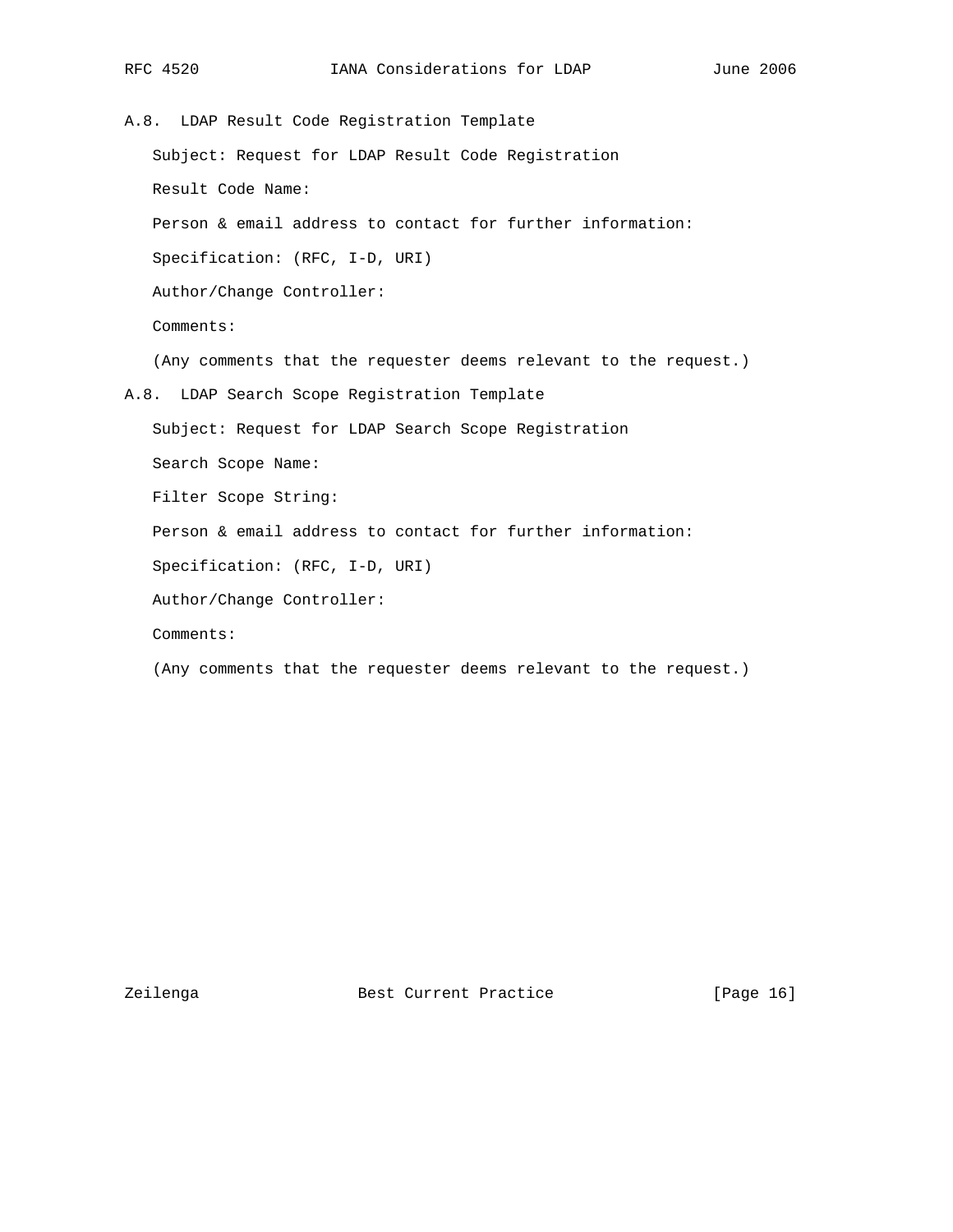A.8. LDAP Result Code Registration Template Subject: Request for LDAP Result Code Registration Result Code Name: Person & email address to contact for further information: Specification: (RFC, I-D, URI) Author/Change Controller: Comments: (Any comments that the requester deems relevant to the request.) A.8. LDAP Search Scope Registration Template Subject: Request for LDAP Search Scope Registration Search Scope Name: Filter Scope String: Person & email address to contact for further information: Specification: (RFC, I-D, URI) Author/Change Controller: Comments:

(Any comments that the requester deems relevant to the request.)

Zeilenga **Best Current Practice** [Page 16]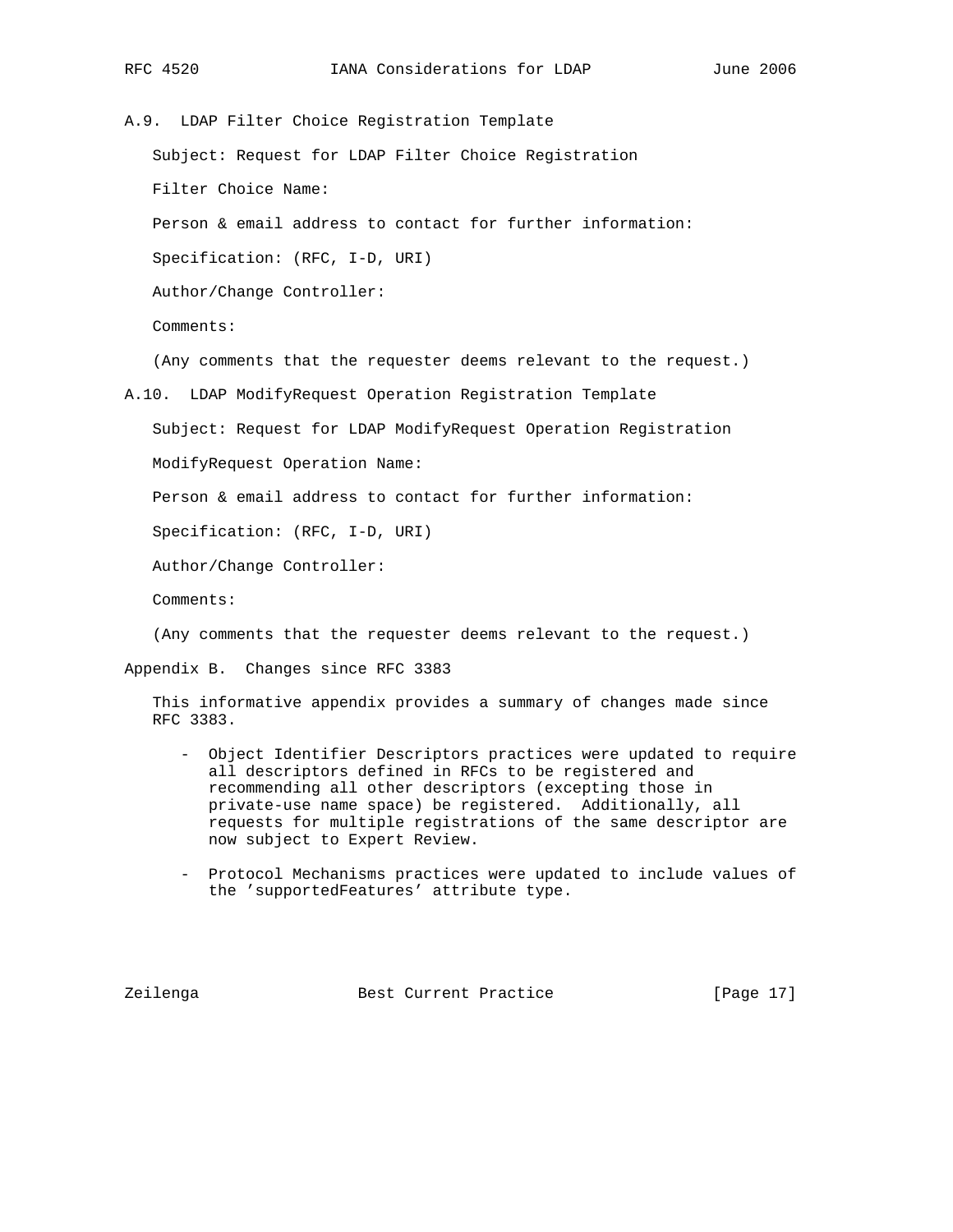A.9. LDAP Filter Choice Registration Template Subject: Request for LDAP Filter Choice Registration Filter Choice Name: Person & email address to contact for further information: Specification: (RFC, I-D, URI) Author/Change Controller: Comments: (Any comments that the requester deems relevant to the request.) A.10. LDAP ModifyRequest Operation Registration Template Subject: Request for LDAP ModifyRequest Operation Registration

ModifyRequest Operation Name:

Person & email address to contact for further information:

Specification: (RFC, I-D, URI)

Author/Change Controller:

Comments:

(Any comments that the requester deems relevant to the request.)

Appendix B. Changes since RFC 3383

 This informative appendix provides a summary of changes made since RFC 3383.

- Object Identifier Descriptors practices were updated to require all descriptors defined in RFCs to be registered and recommending all other descriptors (excepting those in private-use name space) be registered. Additionally, all requests for multiple registrations of the same descriptor are now subject to Expert Review.
- Protocol Mechanisms practices were updated to include values of the 'supportedFeatures' attribute type.

Zeilenga Best Current Practice [Page 17]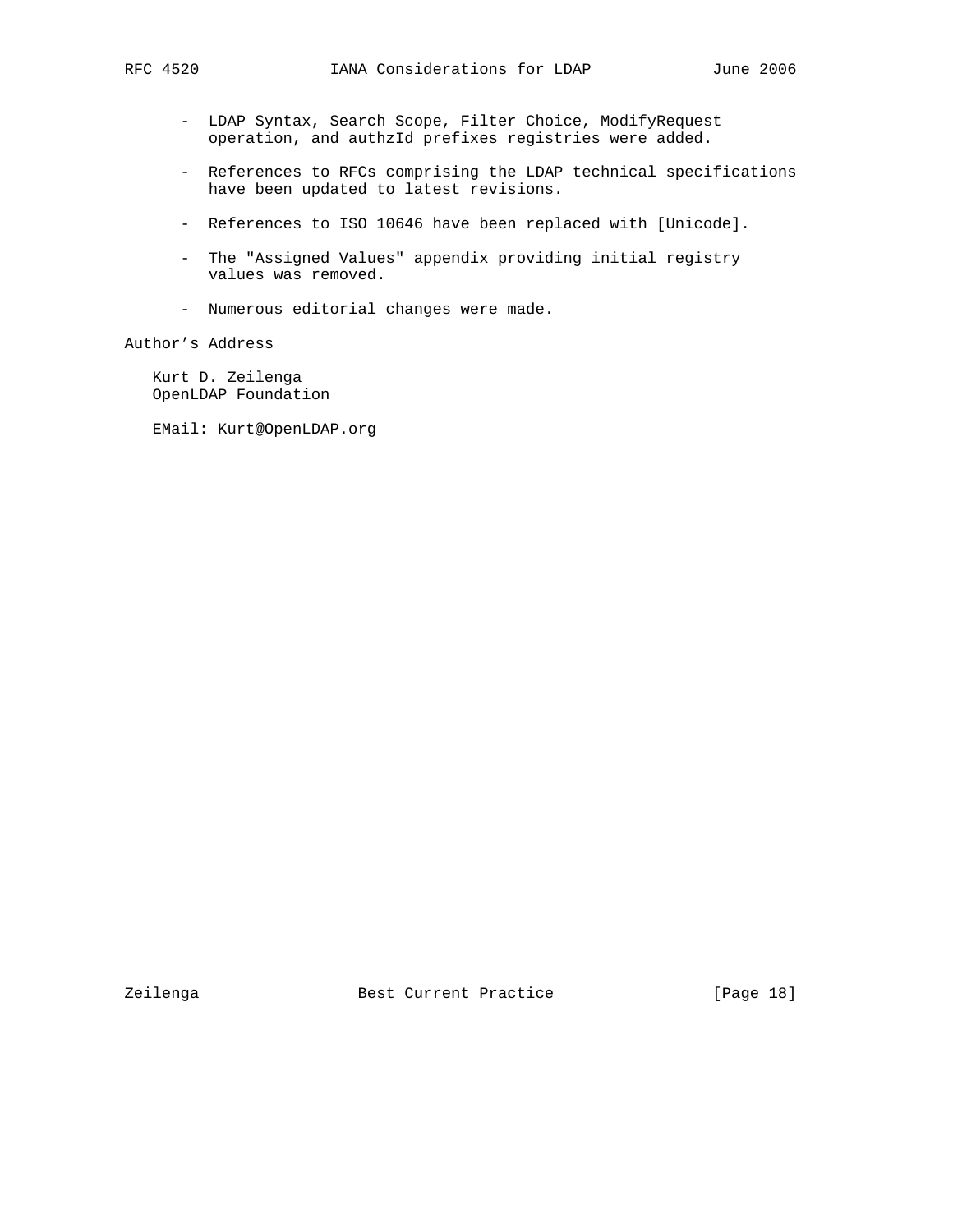- LDAP Syntax, Search Scope, Filter Choice, ModifyRequest operation, and authzId prefixes registries were added.
- References to RFCs comprising the LDAP technical specifications have been updated to latest revisions.
- References to ISO 10646 have been replaced with [Unicode].
- The "Assigned Values" appendix providing initial registry values was removed.
- Numerous editorial changes were made.

# Author's Address

 Kurt D. Zeilenga OpenLDAP Foundation

EMail: Kurt@OpenLDAP.org

Zeilenga **Best Current Practice** [Page 18]